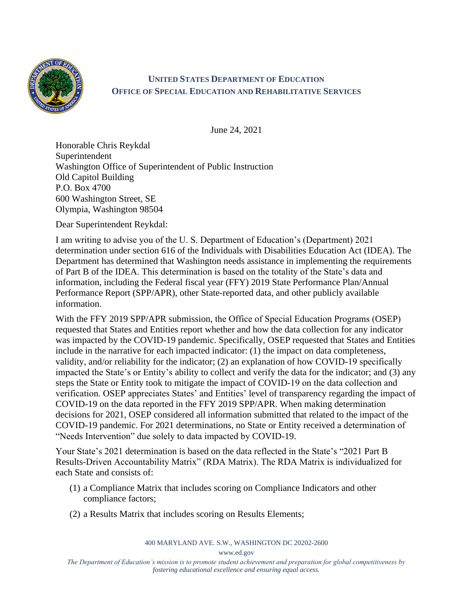

## **UNITED STATES DEPARTMENT OF EDUCATION OFFICE OF SPECIAL EDUCATION AND REHABILITATIVE SERVICES**

June 24, 2021

Honorable Chris Reykdal Superintendent Washington Office of Superintendent of Public Instruction Old Capitol Building P.O. Box 4700 600 Washington Street, SE Olympia, Washington 98504

Dear Superintendent Reykdal:

I am writing to advise you of the U. S. Department of Education's (Department) 2021 determination under section 616 of the Individuals with Disabilities Education Act (IDEA). The Department has determined that Washington needs assistance in implementing the requirements of Part B of the IDEA. This determination is based on the totality of the State's data and information, including the Federal fiscal year (FFY) 2019 State Performance Plan/Annual Performance Report (SPP/APR), other State-reported data, and other publicly available information.

With the FFY 2019 SPP/APR submission, the Office of Special Education Programs (OSEP) requested that States and Entities report whether and how the data collection for any indicator was impacted by the COVID-19 pandemic. Specifically, OSEP requested that States and Entities include in the narrative for each impacted indicator: (1) the impact on data completeness, validity, and/or reliability for the indicator; (2) an explanation of how COVID-19 specifically impacted the State's or Entity's ability to collect and verify the data for the indicator; and (3) any steps the State or Entity took to mitigate the impact of COVID-19 on the data collection and verification. OSEP appreciates States' and Entities' level of transparency regarding the impact of COVID-19 on the data reported in the FFY 2019 SPP/APR. When making determination decisions for 2021, OSEP considered all information submitted that related to the impact of the COVID-19 pandemic. For 2021 determinations, no State or Entity received a determination of "Needs Intervention" due solely to data impacted by COVID-19.

Your State's 2021 determination is based on the data reflected in the State's "2021 Part B Results-Driven Accountability Matrix" (RDA Matrix). The RDA Matrix is individualized for each State and consists of:

- (1) a Compliance Matrix that includes scoring on Compliance Indicators and other compliance factors;
- (2) a Results Matrix that includes scoring on Results Elements;

400 MARYLAND AVE. S.W., WASHINGTON DC 20202-2600

www.ed.gov

*The Department of Education's mission is to promote student achievement and preparation for global competitiveness by fostering educational excellence and ensuring equal access.*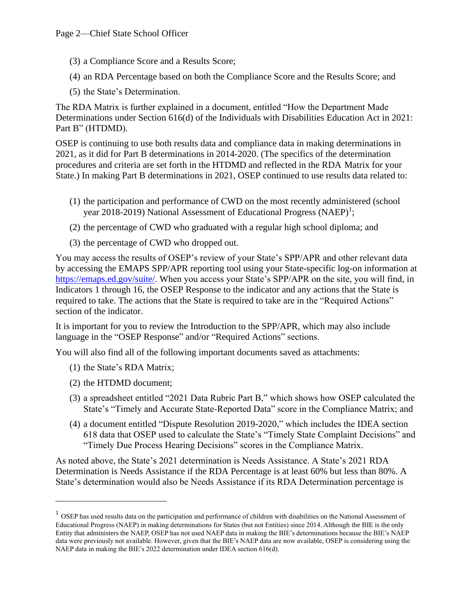- (3) a Compliance Score and a Results Score;
- (4) an RDA Percentage based on both the Compliance Score and the Results Score; and
- (5) the State's Determination.

The RDA Matrix is further explained in a document, entitled "How the Department Made Determinations under Section 616(d) of the Individuals with Disabilities Education Act in 2021: Part B" (HTDMD).

OSEP is continuing to use both results data and compliance data in making determinations in 2021, as it did for Part B determinations in 2014-2020. (The specifics of the determination procedures and criteria are set forth in the HTDMD and reflected in the RDA Matrix for your State.) In making Part B determinations in 2021, OSEP continued to use results data related to:

- (1) the participation and performance of CWD on the most recently administered (school year 2018-2019) National Assessment of Educational Progress (NAEP)<sup>1</sup>;
- (2) the percentage of CWD who graduated with a regular high school diploma; and
- (3) the percentage of CWD who dropped out.

You may access the results of OSEP's review of your State's SPP/APR and other relevant data by accessing the EMAPS SPP/APR reporting tool using your State-specific log-on information at [https://emaps.ed.gov/suite/.](https://emaps.ed.gov/suite/) When you access your State's SPP/APR on the site, you will find, in Indicators 1 through 16, the OSEP Response to the indicator and any actions that the State is required to take. The actions that the State is required to take are in the "Required Actions" section of the indicator.

It is important for you to review the Introduction to the SPP/APR, which may also include language in the "OSEP Response" and/or "Required Actions" sections.

You will also find all of the following important documents saved as attachments:

- (1) the State's RDA Matrix;
- (2) the HTDMD document;
- (3) a spreadsheet entitled "2021 Data Rubric Part B," which shows how OSEP calculated the State's "Timely and Accurate State-Reported Data" score in the Compliance Matrix; and
- (4) a document entitled "Dispute Resolution 2019-2020," which includes the IDEA section 618 data that OSEP used to calculate the State's "Timely State Complaint Decisions" and "Timely Due Process Hearing Decisions" scores in the Compliance Matrix.

As noted above, the State's 2021 determination is Needs Assistance. A State's 2021 RDA Determination is Needs Assistance if the RDA Percentage is at least 60% but less than 80%. A State's determination would also be Needs Assistance if its RDA Determination percentage is

 $<sup>1</sup>$  OSEP has used results data on the participation and performance of children with disabilities on the National Assessment of</sup> Educational Progress (NAEP) in making determinations for States (but not Entities) since 2014. Although the BIE is the only Entity that administers the NAEP, OSEP has not used NAEP data in making the BIE's determinations because the BIE's NAEP data were previously not available. However, given that the BIE's NAEP data are now available, OSEP is considering using the NAEP data in making the BIE's 2022 determination under IDEA section 616(d).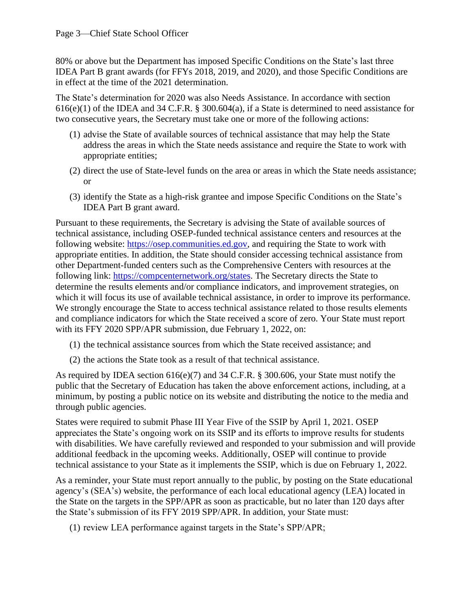80% or above but the Department has imposed Specific Conditions on the State's last three IDEA Part B grant awards (for FFYs 2018, 2019, and 2020), and those Specific Conditions are in effect at the time of the 2021 determination.

The State's determination for 2020 was also Needs Assistance. In accordance with section  $616(e)(1)$  of the IDEA and 34 C.F.R. § 300.604(a), if a State is determined to need assistance for two consecutive years, the Secretary must take one or more of the following actions:

- (1) advise the State of available sources of technical assistance that may help the State address the areas in which the State needs assistance and require the State to work with appropriate entities;
- (2) direct the use of State-level funds on the area or areas in which the State needs assistance; or
- (3) identify the State as a high-risk grantee and impose Specific Conditions on the State's IDEA Part B grant award.

Pursuant to these requirements, the Secretary is advising the State of available sources of technical assistance, including OSEP-funded technical assistance centers and resources at the following website: [https://osep.communities.ed.gov,](https://osep.communities.ed.gov/) and requiring the State to work with appropriate entities. In addition, the State should consider accessing technical assistance from other Department-funded centers such as the Comprehensive Centers with resources at the following link: [https://compcenternetwork.org/states.](https://compcenternetwork.org/states) The Secretary directs the State to determine the results elements and/or compliance indicators, and improvement strategies, on which it will focus its use of available technical assistance, in order to improve its performance. We strongly encourage the State to access technical assistance related to those results elements and compliance indicators for which the State received a score of zero. Your State must report with its FFY 2020 SPP/APR submission, due February 1, 2022, on:

- (1) the technical assistance sources from which the State received assistance; and
- (2) the actions the State took as a result of that technical assistance.

As required by IDEA section 616(e)(7) and 34 C.F.R. § 300.606, your State must notify the public that the Secretary of Education has taken the above enforcement actions, including, at a minimum, by posting a public notice on its website and distributing the notice to the media and through public agencies.

States were required to submit Phase III Year Five of the SSIP by April 1, 2021. OSEP appreciates the State's ongoing work on its SSIP and its efforts to improve results for students with disabilities. We have carefully reviewed and responded to your submission and will provide additional feedback in the upcoming weeks. Additionally, OSEP will continue to provide technical assistance to your State as it implements the SSIP, which is due on February 1, 2022.

As a reminder, your State must report annually to the public, by posting on the State educational agency's (SEA's) website, the performance of each local educational agency (LEA) located in the State on the targets in the SPP/APR as soon as practicable, but no later than 120 days after the State's submission of its FFY 2019 SPP/APR. In addition, your State must:

(1) review LEA performance against targets in the State's SPP/APR;